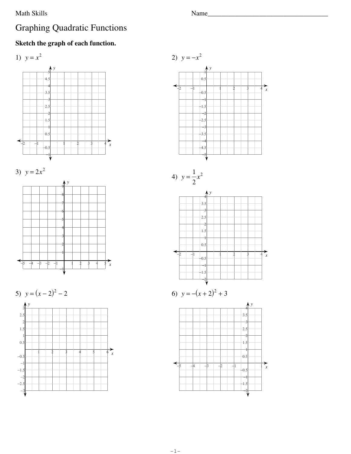## Math Skills

## **Graphing Quadratic Functions**

## Sketch the graph of each function.













$$
4) \ \ y = \frac{1}{2}x^2
$$



6) 
$$
y = -(x+2)^2 + 3
$$

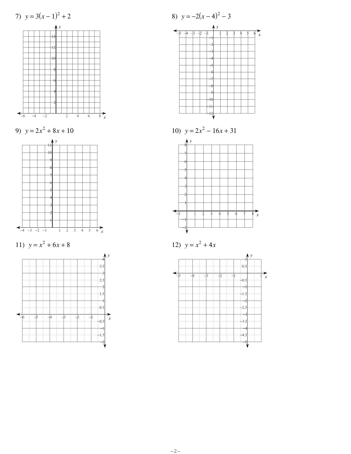





$$
12) \ \ y = x^2 + 4x
$$